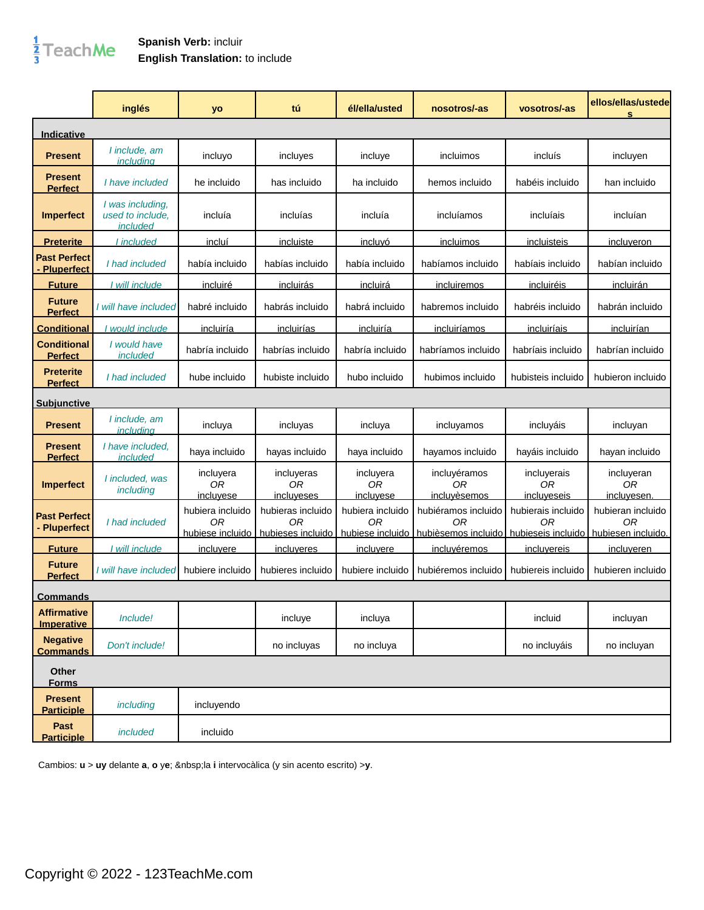## $\frac{1}{3}$ TeachMe

## **Spanish Verb:** incluir **English Translation:** to include

|                                          | inglés                                           | yo                                         | tú                                           | él/ella/usted                                          | nosotros/-as                                                        | vosotros/-as                                 | ellos/ellas/ustede<br>s                       |
|------------------------------------------|--------------------------------------------------|--------------------------------------------|----------------------------------------------|--------------------------------------------------------|---------------------------------------------------------------------|----------------------------------------------|-----------------------------------------------|
| Indicative                               |                                                  |                                            |                                              |                                                        |                                                                     |                                              |                                               |
| <b>Present</b>                           | I include, am<br>includina                       | incluyo                                    | incluyes                                     | incluye                                                | incluimos                                                           | incluís                                      | incluyen                                      |
| <b>Present</b><br><b>Perfect</b>         | I have included                                  | he incluido                                | has incluido                                 | ha incluido                                            | hemos incluido                                                      | habéis incluido                              | han incluido                                  |
| <b>Imperfect</b>                         | I was including,<br>used to include,<br>included | incluía                                    | incluías                                     | incluía                                                | incluíamos                                                          | incluíais                                    | incluían                                      |
| <b>Preterite</b>                         | I included                                       | <u>incluí</u>                              | <u>incluiste</u>                             | <u>incluvó</u>                                         | <u>incluimos</u>                                                    | incluisteis                                  | <u>incluveron</u>                             |
| <b>Past Perfect</b><br><b>Pluperfect</b> | I had included                                   | había incluido                             | habías incluido                              | había incluido                                         | habíamos incluido                                                   | habíais incluido                             | habían incluido                               |
| <b>Future</b>                            | I will include                                   | incluiré                                   | <i>incluirás</i>                             | incluirá                                               | <u>incluiremos</u>                                                  | incluiréis                                   | <i>incluirán</i>                              |
| <b>Future</b><br><b>Perfect</b>          | I will have included                             | habré incluido                             | habrás incluido                              | habrá incluido                                         | habremos incluido                                                   | habréis incluido                             | habrán incluido                               |
| <b>Conditional</b>                       | I would include                                  | incluiría                                  | incluirías                                   | incluiría                                              | <u>incluiríamos</u>                                                 | incluiríais                                  | incluirían                                    |
| <b>Conditional</b><br><b>Perfect</b>     | I would have<br>included                         | habría incluido                            | habrías incluido                             | habría incluido                                        | habríamos incluido                                                  | habríais incluido                            | habrían incluido                              |
| <b>Preterite</b><br><b>Perfect</b>       | I had included                                   | hube incluido                              | hubiste incluido                             | hubo incluido                                          | hubimos incluido                                                    | hubisteis incluido                           | hubieron incluido                             |
| <u>Subiunctive</u>                       |                                                  |                                            |                                              |                                                        |                                                                     |                                              |                                               |
| <b>Present</b>                           | I include, am<br><i>includina</i>                | incluya                                    | incluyas                                     | incluya                                                | incluyamos                                                          | incluyáis                                    | incluyan                                      |
| <b>Present</b><br><b>Perfect</b>         | I have included,<br>included                     | haya incluido                              | hayas incluido                               | haya incluido                                          | hayamos incluido                                                    | hayáis incluido                              | hayan incluido                                |
| <b>Imperfect</b>                         | I included, was<br>including                     | incluyera<br><b>OR</b><br>incluvese        | incluyeras<br><b>OR</b><br>incluveses        | incluyera<br>0 <sub>R</sub><br>incluvese               | incluyéramos<br>ОR<br>incluvèsemos                                  | incluyerais<br>0 <sub>R</sub><br>incluveseis | incluyeran<br>0 <sub>R</sub><br>incluvesen.   |
| <b>Past Perfect</b><br><b>Pluperfect</b> | I had included                                   | hubiera incluido<br>0R<br>hubiese incluido | hubieras incluido<br>0R<br>hubieses incluido | hubiera incluido<br>0 <sub>R</sub><br>hubiese incluido | hubiéramos incluido<br>ΩR<br>hubièsemos incluido hubieseis incluido | hubierais incluido<br>0R                     | hubieran incluido<br>ОR<br>hubiesen incluido. |
| <b>Future</b>                            | <u>I will include</u>                            | <u>incluvere</u>                           | incluveres                                   | incluvere                                              | <u>incluvéremos</u>                                                 | incluvereis                                  | incluveren                                    |
| <b>Future</b><br><b>Perfect</b>          | I will have included                             | hubiere incluido                           | hubieres incluido                            | hubiere incluido                                       | hubiéremos incluido                                                 | hubiereis incluido                           | hubieren incluido                             |
| <b>Commands</b>                          |                                                  |                                            |                                              |                                                        |                                                                     |                                              |                                               |
| <b>Affirmative</b><br><b>Imperative</b>  | Include!                                         |                                            | incluye                                      | incluya                                                |                                                                     | incluid                                      | incluyan                                      |
| <b>Negative</b><br><b>Commands</b>       | Don't include!                                   |                                            | no incluyas                                  | no incluya                                             |                                                                     | no incluyáis                                 | no incluyan                                   |
| Other<br><b>Forms</b>                    |                                                  |                                            |                                              |                                                        |                                                                     |                                              |                                               |
| <b>Present</b><br><b>Participle</b>      | including                                        | incluyendo                                 |                                              |                                                        |                                                                     |                                              |                                               |
| Past<br><b>Participle</b>                | included                                         | incluido                                   |                                              |                                                        |                                                                     |                                              |                                               |

Cambios: **u** > **uy** delante **a**, **o** y**e**; la **i** intervocàlica (y sin acento escrito) >**y**.